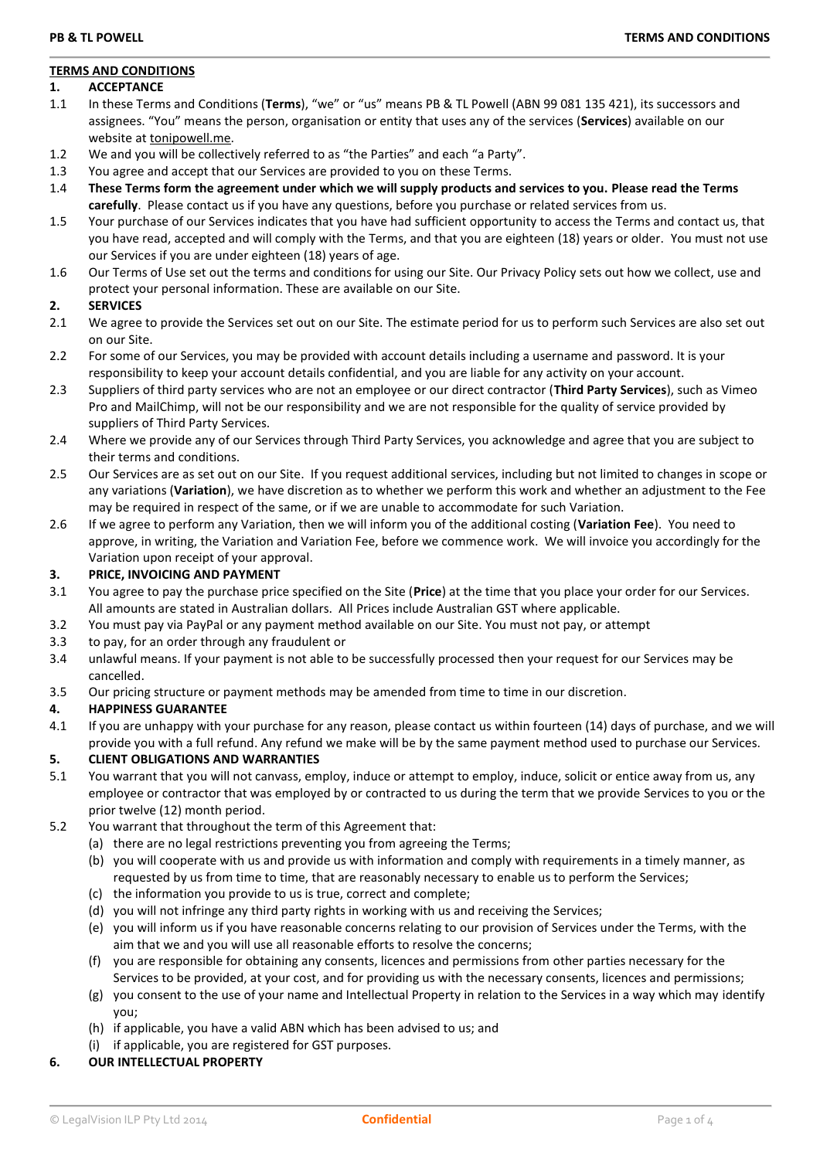# **TERMS AND CONDITIONS**

## **1. ACCEPTANCE**

- 1.1 In these Terms and Conditions (**Terms**), "we" or "us" means PB & TL Powell (ABN 99 081 135 421), its successors and assignees. "You" means the person, organisation or entity that uses any of the services (**Services**) available on our website at [tonipowell.me.](http://www.tonipowell.me/)
- 1.2 We and you will be collectively referred to as "the Parties" and each "a Party".
- 1.3 You agree and accept that our Services are provided to you on these Terms.
- 1.4 **These Terms form the agreement under which we will supply products and services to you. Please read the Terms carefully**. Please contact us if you have any questions, before you purchase or related services from us.
- 1.5 Your purchase of our Services indicates that you have had sufficient opportunity to access the Terms and contact us, that you have read, accepted and will comply with the Terms, and that you are eighteen (18) years or older. You must not use our Services if you are under eighteen (18) years of age.
- 1.6 Our Terms of Use set out the terms and conditions for using our Site. Our Privacy Policy sets out how we collect, use and protect your personal information. These are available on our Site.

# **2. SERVICES**

- 2.1 We agree to provide the Services set out on our Site. The estimate period for us to perform such Services are also set out on our Site.
- 2.2 For some of our Services, you may be provided with account details including a username and password. It is your responsibility to keep your account details confidential, and you are liable for any activity on your account.
- 2.3 Suppliers of third party services who are not an employee or our direct contractor (**Third Party Services**), such as Vimeo Pro and MailChimp, will not be our responsibility and we are not responsible for the quality of service provided by suppliers of Third Party Services.
- 2.4 Where we provide any of our Services through Third Party Services, you acknowledge and agree that you are subject to their terms and conditions.
- 2.5 Our Services are as set out on our Site. If you request additional services, including but not limited to changes in scope or any variations (**Variation**), we have discretion as to whether we perform this work and whether an adjustment to the Fee may be required in respect of the same, or if we are unable to accommodate for such Variation.
- 2.6 If we agree to perform any Variation, then we will inform you of the additional costing (**Variation Fee**). You need to approve, in writing, the Variation and Variation Fee, before we commence work. We will invoice you accordingly for the Variation upon receipt of your approval.

# **3. PRICE, INVOICING AND PAYMENT**

- 3.1 You agree to pay the purchase price specified on the Site (**Price**) at the time that you place your order for our Services. All amounts are stated in Australian dollars. All Prices include Australian GST where applicable.
- 3.2 You must pay via PayPal or any payment method available on our Site. You must not pay, or attempt
- 3.3 to pay, for an order through any fraudulent or
- 3.4 unlawful means. If your payment is not able to be successfully processed then your request for our Services may be cancelled.
- 3.5 Our pricing structure or payment methods may be amended from time to time in our discretion.

# **4. HAPPINESS GUARANTEE**

4.1 If you are unhappy with your purchase for any reason, please contact us within fourteen (14) days of purchase, and we will provide you with a full refund. Any refund we make will be by the same payment method used to purchase our Services.

# **5. CLIENT OBLIGATIONS AND WARRANTIES**

- 5.1 You warrant that you will not canvass, employ, induce or attempt to employ, induce, solicit or entice away from us, any employee or contractor that was employed by or contracted to us during the term that we provide Services to you or the prior twelve (12) month period.
- 5.2 You warrant that throughout the term of this Agreement that:
	- (a) there are no legal restrictions preventing you from agreeing the Terms;
	- (b) you will cooperate with us and provide us with information and comply with requirements in a timely manner, as requested by us from time to time, that are reasonably necessary to enable us to perform the Services;
	- (c) the information you provide to us is true, correct and complete;
	- (d) you will not infringe any third party rights in working with us and receiving the Services;
	- (e) you will inform us if you have reasonable concerns relating to our provision of Services under the Terms, with the aim that we and you will use all reasonable efforts to resolve the concerns;
	- (f) you are responsible for obtaining any consents, licences and permissions from other parties necessary for the Services to be provided, at your cost, and for providing us with the necessary consents, licences and permissions;
	- (g) you consent to the use of your name and Intellectual Property in relation to the Services in a way which may identify you;
	- (h) if applicable, you have a valid ABN which has been advised to us; and
	- (i) if applicable, you are registered for GST purposes.
- **6. OUR INTELLECTUAL PROPERTY**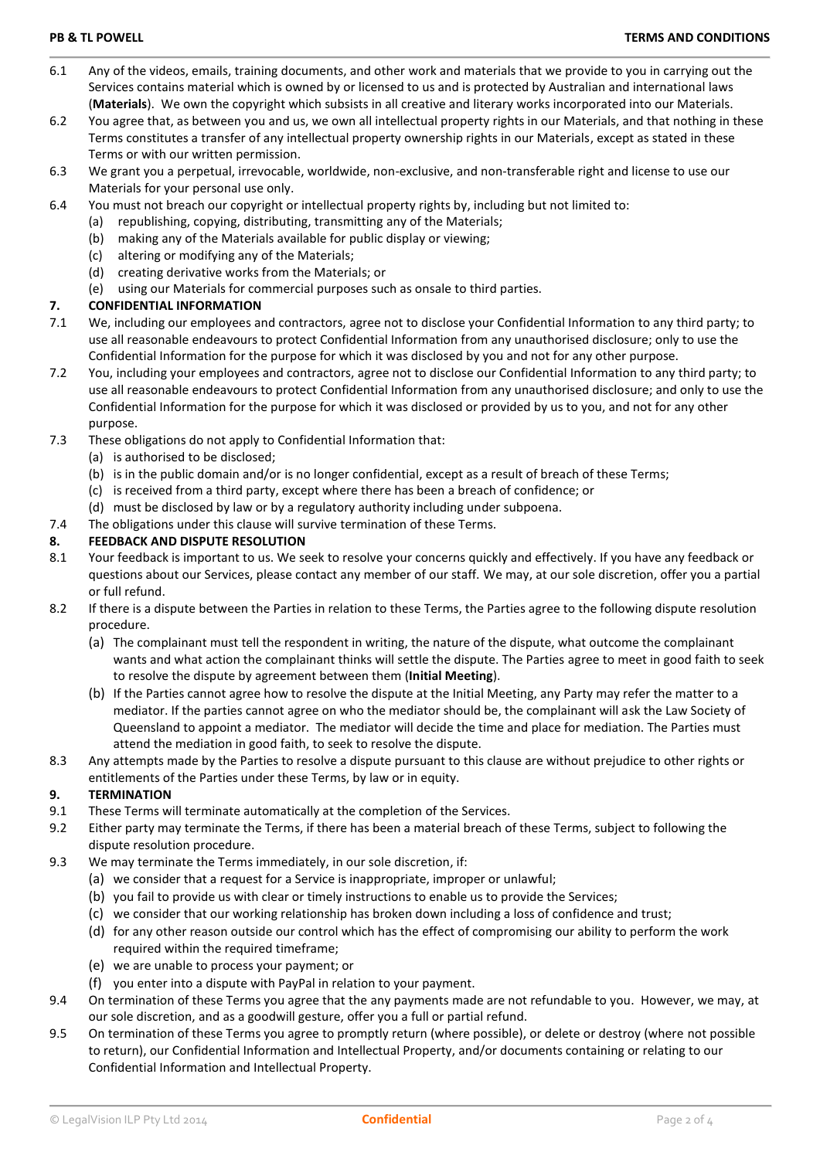- 6.1 Any of the videos, emails, training documents, and other work and materials that we provide to you in carrying out the Services contains material which is owned by or licensed to us and is protected by Australian and international laws (**Materials**). We own the copyright which subsists in all creative and literary works incorporated into our Materials.
- 6.2 You agree that, as between you and us, we own all intellectual property rights in our Materials, and that nothing in these Terms constitutes a transfer of any intellectual property ownership rights in our Materials, except as stated in these Terms or with our written permission.
- 6.3 We grant you a perpetual, irrevocable, worldwide, non-exclusive, and non-transferable right and license to use our Materials for your personal use only.
- 6.4 You must not breach our copyright or intellectual property rights by, including but not limited to:
	- (a) republishing, copying, distributing, transmitting any of the Materials;
	- (b) making any of the Materials available for public display or viewing;
	- (c) altering or modifying any of the Materials;
	- (d) creating derivative works from the Materials; or
	- (e) using our Materials for commercial purposes such as onsale to third parties.

# **7. CONFIDENTIAL INFORMATION**

- 7.1 We, including our employees and contractors, agree not to disclose your Confidential Information to any third party; to use all reasonable endeavours to protect Confidential Information from any unauthorised disclosure; only to use the Confidential Information for the purpose for which it was disclosed by you and not for any other purpose.
- 7.2 You, including your employees and contractors, agree not to disclose our Confidential Information to any third party; to use all reasonable endeavours to protect Confidential Information from any unauthorised disclosure; and only to use the Confidential Information for the purpose for which it was disclosed or provided by us to you, and not for any other purpose.
- 7.3 These obligations do not apply to Confidential Information that:
	- (a) is authorised to be disclosed;
	- (b) is in the public domain and/or is no longer confidential, except as a result of breach of these Terms;
	- (c) is received from a third party, except where there has been a breach of confidence; or
	- (d) must be disclosed by law or by a regulatory authority including under subpoena.
- 7.4 The obligations under this clause will survive termination of these Terms.

# **8. FEEDBACK AND DISPUTE RESOLUTION**

- 8.1 Your feedback is important to us. We seek to resolve your concerns quickly and effectively. If you have any feedback or questions about our Services, please contact any member of our staff. We may, at our sole discretion, offer you a partial or full refund.
- 8.2 If there is a dispute between the Parties in relation to these Terms, the Parties agree to the following dispute resolution procedure.
	- (a) The complainant must tell the respondent in writing, the nature of the dispute, what outcome the complainant wants and what action the complainant thinks will settle the dispute. The Parties agree to meet in good faith to seek to resolve the dispute by agreement between them (**Initial Meeting**).
	- (b) If the Parties cannot agree how to resolve the dispute at the Initial Meeting, any Party may refer the matter to a mediator. If the parties cannot agree on who the mediator should be, the complainant will ask the Law Society of Queensland to appoint a mediator. The mediator will decide the time and place for mediation. The Parties must attend the mediation in good faith, to seek to resolve the dispute.
- 8.3 Any attempts made by the Parties to resolve a dispute pursuant to this clause are without prejudice to other rights or entitlements of the Parties under these Terms, by law or in equity.

# **9. TERMINATION**

- 9.1 These Terms will terminate automatically at the completion of the Services.
- 9.2 Either party may terminate the Terms, if there has been a material breach of these Terms, subject to following the dispute resolution procedure.
- 9.3 We may terminate the Terms immediately, in our sole discretion, if:
	- (a) we consider that a request for a Service is inappropriate, improper or unlawful;
	- (b) you fail to provide us with clear or timely instructions to enable us to provide the Services;
	- (c) we consider that our working relationship has broken down including a loss of confidence and trust;
	- (d) for any other reason outside our control which has the effect of compromising our ability to perform the work required within the required timeframe;
	- (e) we are unable to process your payment; or
	- (f) you enter into a dispute with PayPal in relation to your payment.
- 9.4 On termination of these Terms you agree that the any payments made are not refundable to you. However, we may, at our sole discretion, and as a goodwill gesture, offer you a full or partial refund.
- 9.5 On termination of these Terms you agree to promptly return (where possible), or delete or destroy (where not possible to return), our Confidential Information and Intellectual Property, and/or documents containing or relating to our Confidential Information and Intellectual Property.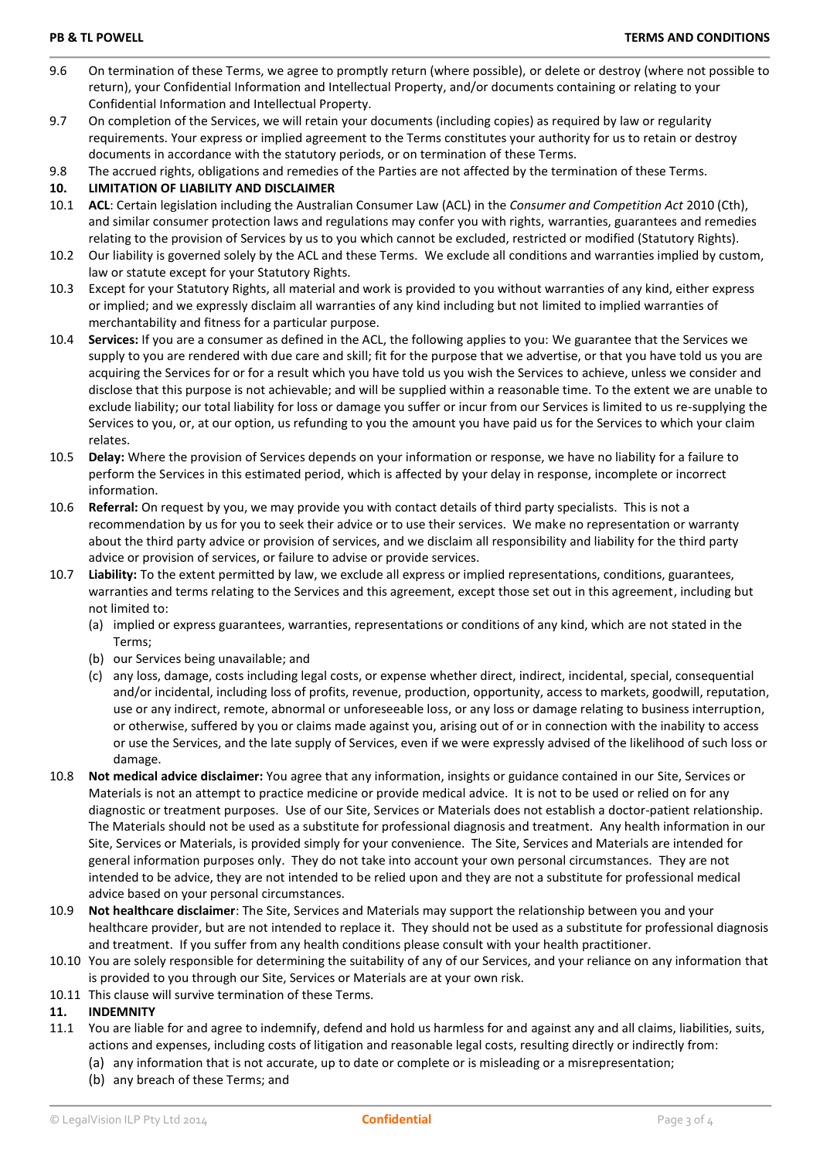- 9.6 On termination of these Terms, we agree to promptly return (where possible), or delete or destroy (where not possible to return), your Confidential Information and Intellectual Property, and/or documents containing or relating to your Confidential Information and Intellectual Property.
- 9.7 On completion of the Services, we will retain your documents (including copies) as required by law or regularity requirements. Your express or implied agreement to the Terms constitutes your authority for us to retain or destroy documents in accordance with the statutory periods, or on termination of these Terms.
- 9.8 The accrued rights, obligations and remedies of the Parties are not affected by the termination of these Terms.

## **10. LIMITATION OF LIABILITY AND DISCLAIMER**

- 10.1 **ACL**: Certain legislation including the Australian Consumer Law (ACL) in the *Consumer and Competition Act* 2010 (Cth), and similar consumer protection laws and regulations may confer you with rights, warranties, guarantees and remedies relating to the provision of Services by us to you which cannot be excluded, restricted or modified (Statutory Rights).
- 10.2 Our liability is governed solely by the ACL and these Terms. We exclude all conditions and warranties implied by custom, law or statute except for your Statutory Rights.
- 10.3 Except for your Statutory Rights, all material and work is provided to you without warranties of any kind, either express or implied; and we expressly disclaim all warranties of any kind including but not limited to implied warranties of merchantability and fitness for a particular purpose.
- 10.4 **Services:** If you are a consumer as defined in the ACL, the following applies to you: We guarantee that the Services we supply to you are rendered with due care and skill; fit for the purpose that we advertise, or that you have told us you are acquiring the Services for or for a result which you have told us you wish the Services to achieve, unless we consider and disclose that this purpose is not achievable; and will be supplied within a reasonable time. To the extent we are unable to exclude liability; our total liability for loss or damage you suffer or incur from our Services is limited to us re-supplying the Services to you, or, at our option, us refunding to you the amount you have paid us for the Services to which your claim relates.
- 10.5 **Delay:** Where the provision of Services depends on your information or response, we have no liability for a failure to perform the Services in this estimated period, which is affected by your delay in response, incomplete or incorrect information.
- 10.6 **Referral:** On request by you, we may provide you with contact details of third party specialists. This is not a recommendation by us for you to seek their advice or to use their services. We make no representation or warranty about the third party advice or provision of services, and we disclaim all responsibility and liability for the third party advice or provision of services, or failure to advise or provide services.
- 10.7 **Liability:** To the extent permitted by law, we exclude all express or implied representations, conditions, guarantees, warranties and terms relating to the Services and this agreement, except those set out in this agreement, including but not limited to:
	- (a) implied or express guarantees, warranties, representations or conditions of any kind, which are not stated in the Terms;
	- (b) our Services being unavailable; and
	- (c) any loss, damage, costs including legal costs, or expense whether direct, indirect, incidental, special, consequential and/or incidental, including loss of profits, revenue, production, opportunity, access to markets, goodwill, reputation, use or any indirect, remote, abnormal or unforeseeable loss, or any loss or damage relating to business interruption, or otherwise, suffered by you or claims made against you, arising out of or in connection with the inability to access or use the Services, and the late supply of Services, even if we were expressly advised of the likelihood of such loss or damage.
- 10.8 **Not medical advice disclaimer:** You agree that any information, insights or guidance contained in our Site, Services or Materials is not an attempt to practice medicine or provide medical advice. It is not to be used or relied on for any diagnostic or treatment purposes. Use of our Site, Services or Materials does not establish a doctor-patient relationship. The Materials should not be used as a substitute for professional diagnosis and treatment. Any health information in our Site, Services or Materials, is provided simply for your convenience. The Site, Services and Materials are intended for general information purposes only. They do not take into account your own personal circumstances. They are not intended to be advice, they are not intended to be relied upon and they are not a substitute for professional medical advice based on your personal circumstances.
- 10.9 **Not healthcare disclaimer**: The Site, Services and Materials may support the relationship between you and your healthcare provider, but are not intended to replace it. They should not be used as a substitute for professional diagnosis and treatment. If you suffer from any health conditions please consult with your health practitioner.
- 10.10 You are solely responsible for determining the suitability of any of our Services, and your reliance on any information that is provided to you through our Site, Services or Materials are at your own risk.
- 10.11 This clause will survive termination of these Terms.

# **11. INDEMNITY**

- 11.1 You are liable for and agree to indemnify, defend and hold us harmless for and against any and all claims, liabilities, suits, actions and expenses, including costs of litigation and reasonable legal costs, resulting directly or indirectly from:
	- (a) any information that is not accurate, up to date or complete or is misleading or a misrepresentation;
	- (b) any breach of these Terms; and